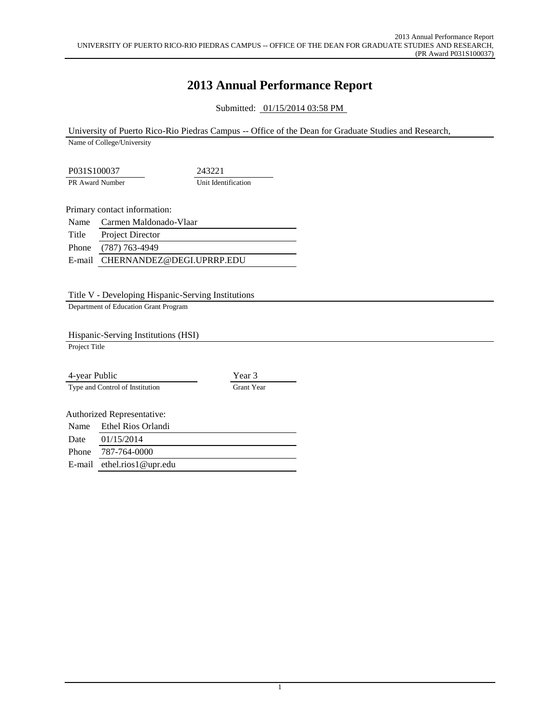## **2013 Annual Performance Report**

Submitted: 01/15/2014 03:58 PM

University of Puerto Rico-Rio Piedras Campus -- Office of the Dean for Graduate Studies and Research,

Name of College/University

P031S100037 243221 PR Award Number Unit Identification

Primary contact information:

| Name  | Carmen Maldonado-Vlaar           |
|-------|----------------------------------|
| Title | Project Director                 |
|       | Phone (787) 763-4949             |
|       | E-mail CHERNANDEZ@DEGI.UPRRP.EDU |
|       |                                  |

Title V - Developing Hispanic-Serving Institutions

Department of Education Grant Program

Hispanic-Serving Institutions (HSI)

Project Title

4-year Public Year 3 Type and Control of Institution Grant Year

Authorized Representative:

Name Ethel Rios Orlandi

Date 01/15/2014 Phone 787-764-0000 E-mail ethel.rios1@upr.edu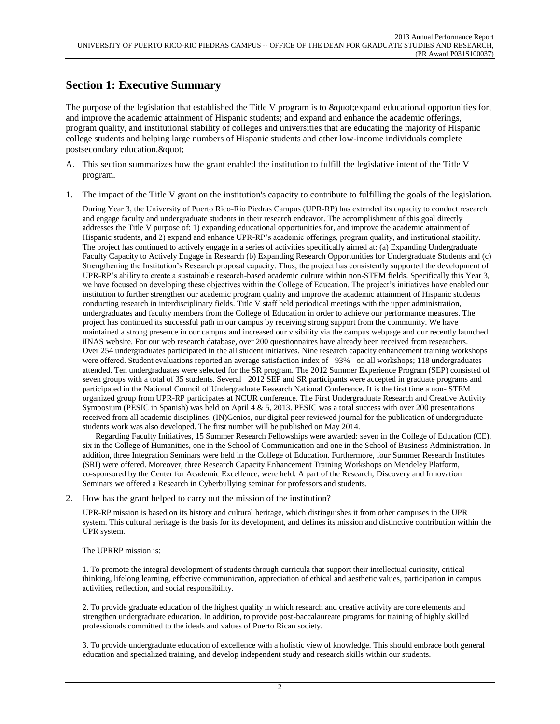### **Section 1: Executive Summary**

The purpose of the legislation that established the Title V program is to " expand educational opportunities for, and improve the academic attainment of Hispanic students; and expand and enhance the academic offerings, program quality, and institutional stability of colleges and universities that are educating the majority of Hispanic college students and helping large numbers of Hispanic students and other low-income individuals complete postsecondary education. & quot;

- A. This section summarizes how the grant enabled the institution to fulfill the legislative intent of the Title V program.
- 1. The impact of the Title V grant on the institution's capacity to contribute to fulfilling the goals of the legislation.

During Year 3, the University of Puerto Rico-Río Piedras Campus (UPR-RP) has extended its capacity to conduct research and engage faculty and undergraduate students in their research endeavor. The accomplishment of this goal directly addresses the Title V purpose of: 1) expanding educational opportunities for, and improve the academic attainment of Hispanic students, and 2) expand and enhance UPR-RP's academic offerings, program quality, and institutional stability. The project has continued to actively engage in a series of activities specifically aimed at: (a) Expanding Undergraduate Faculty Capacity to Actively Engage in Research (b) Expanding Research Opportunities for Undergraduate Students and (c) Strengthening the Institution's Research proposal capacity. Thus, the project has consistently supported the development of UPR-RP's ability to create a sustainable research-based academic culture within non-STEM fields. Specifically this Year 3, we have focused on developing these objectives within the College of Education. The project's initiatives have enabled our institution to further strengthen our academic program quality and improve the academic attainment of Hispanic students conducting research in interdisciplinary fields. Title V staff held periodical meetings with the upper administration, undergraduates and faculty members from the College of Education in order to achieve our performance measures. The project has continued its successful path in our campus by receiving strong support from the community. We have maintained a strong presence in our campus and increased our visibility via the campus webpage and our recently launched iINAS website. For our web research database, over 200 questionnaires have already been received from researchers. Over 254 undergraduates participated in the all student initiatives. Nine research capacity enhancement training workshops were offered. Student evaluations reported an average satisfaction index of 93% on all workshops; 118 undergraduates attended. Ten undergraduates were selected for the SR program. The 2012 Summer Experience Program (SEP) consisted of seven groups with a total of 35 students. Several 2012 SEP and SR participants were accepted in graduate programs and participated in the National Council of Undergraduate Research National Conference. It is the first time a non- STEM organized group from UPR-RP participates at NCUR conference. The First Undergraduate Research and Creative Activity Symposium (PESIC in Spanish) was held on April 4 & 5, 2013. PESIC was a total success with over 200 presentations received from all academic disciplines. (IN)Genios, our digital peer reviewed journal for the publication of undergraduate students work was also developed. The first number will be published on May 2014.

 Regarding Faculty Initiatives, 15 Summer Research Fellowships were awarded: seven in the College of Education (CE), six in the College of Humanities, one in the School of Communication and one in the School of Business Administration. In addition, three Integration Seminars were held in the College of Education. Furthermore, four Summer Research Institutes (SRI) were offered. Moreover, three Research Capacity Enhancement Training Workshops on Mendeley Platform, co-sponsored by the Center for Academic Excellence, were held. A part of the Research, Discovery and Innovation Seminars we offered a Research in Cyberbullying seminar for professors and students.

2. How has the grant helped to carry out the mission of the institution?

UPR-RP mission is based on its history and cultural heritage, which distinguishes it from other campuses in the UPR system. This cultural heritage is the basis for its development, and defines its mission and distinctive contribution within the UPR system.

#### The UPRRP mission is:

1. To promote the integral development of students through curricula that support their intellectual curiosity, critical thinking, lifelong learning, effective communication, appreciation of ethical and aesthetic values, participation in campus activities, reflection, and social responsibility.

2. To provide graduate education of the highest quality in which research and creative activity are core elements and strengthen undergraduate education. In addition, to provide post-baccalaureate programs for training of highly skilled professionals committed to the ideals and values of Puerto Rican society.

3. To provide undergraduate education of excellence with a holistic view of knowledge. This should embrace both general education and specialized training, and develop independent study and research skills within our students.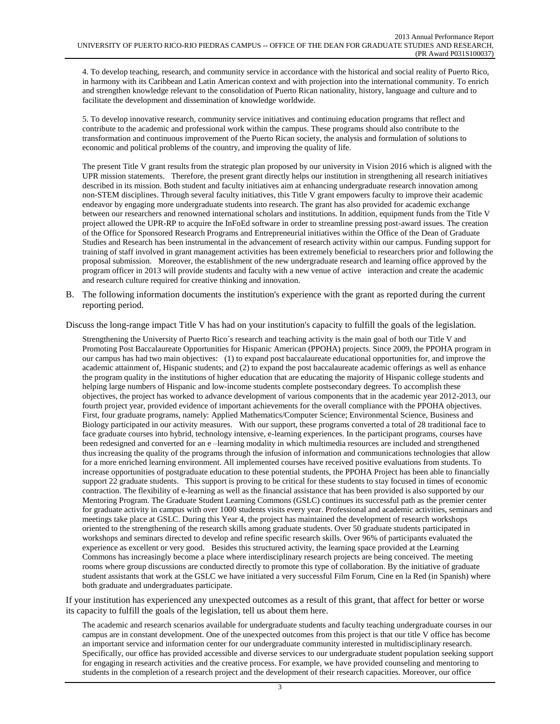4. To develop teaching, research, and community service in accordance with the historical and social reality of Puerto Rico, in harmony with its Caribbean and Latin American context and with projection into the international community. To enrich and strengthen knowledge relevant to the consolidation of Puerto Rican nationality, history, language and culture and to facilitate the development and dissemination of knowledge worldwide.

5. To develop innovative research, community service initiatives and continuing education programs that reflect and contribute to the academic and professional work within the campus. These programs should also contribute to the transformation and continuous improvement of the Puerto Rican society, the analysis and formulation of solutions to economic and political problems of the country, and improving the quality of life.

The present Title V grant results from the strategic plan proposed by our university in Vision 2016 which is aligned with the UPR mission statements. Therefore, the present grant directly helps our institution in strengthening all research initiatives described in its mission. Both student and faculty initiatives aim at enhancing undergraduate research innovation among non-STEM disciplines. Through several faculty initiatives, this Title V grant empowers faculty to improve their academic endeavor by engaging more undergraduate students into research. The grant has also provided for academic exchange between our researchers and renowned international scholars and institutions. In addition, equipment funds from the Title V project allowed the UPR-RP to acquire the InFoEd software in order to streamline pressing post-award issues. The creation of the Office for Sponsored Research Programs and Entrepreneurial initiatives within the Office of the Dean of Graduate Studies and Research has been instrumental in the advancement of research activity within our campus. Funding support for training of staff involved in grant management activities has been extremely beneficial to researchers prior and following the proposal submission. Moreover, the establishment of the new undergraduate research and learning office approved by the program officer in 2013 will provide students and faculty with a new venue of active interaction and create the academic and research culture required for creative thinking and innovation.

B. The following information documents the institution's experience with the grant as reported during the current reporting period.

Discuss the long-range impact Title V has had on your institution's capacity to fulfill the goals of the legislation.

Strengthening the University of Puerto Rico´s research and teaching activity is the main goal of both our Title V and Promoting Post Baccalaureate Opportunities for Hispanic American (PPOHA) projects. Since 2009, the PPOHA program in our campus has had two main objectives: (1) to expand post baccalaureate educational opportunities for, and improve the academic attainment of, Hispanic students; and (2) to expand the post baccalaureate academic offerings as well as enhance the program quality in the institutions of higher education that are educating the majority of Hispanic college students and helping large numbers of Hispanic and low-income students complete postsecondary degrees. To accomplish these objectives, the project has worked to advance development of various components that in the academic year 2012-2013, our fourth project year, provided evidence of important achievements for the overall compliance with the PPOHA objectives. First, four graduate programs, namely: Applied Mathematics/Computer Science; Environmental Science, Business and Biology participated in our activity measures. With our support, these programs converted a total of 28 traditional face to face graduate courses into hybrid, technology intensive, e-learning experiences. In the participant programs, courses have been redesigned and converted for an e –learning modality in which multimedia resources are included and strengthened thus increasing the quality of the programs through the infusion of information and communications technologies that allow for a more enriched learning environment. All implemented courses have received positive evaluations from students. To increase opportunities of postgraduate education to these potential students, the PPOHA Project has been able to financially support 22 graduate students. This support is proving to be critical for these students to stay focused in times of economic contraction. The flexibility of e-learning as well as the financial assistance that has been provided is also supported by our Mentoring Program. The Graduate Student Learning Commons (GSLC) continues its successful path as the premier center for graduate activity in campus with over 1000 students visits every year. Professional and academic activities, seminars and meetings take place at GSLC. During this Year 4, the project has maintained the development of research workshops oriented to the strengthening of the research skills among graduate students. Over 50 graduate students participated in workshops and seminars directed to develop and refine specific research skills. Over 96% of participants evaluated the experience as excellent or very good. Besides this structured activity, the learning space provided at the Learning Commons has increasingly become a place where interdisciplinary research projects are being conceived. The meeting rooms where group discussions are conducted directly to promote this type of collaboration. By the initiative of graduate student assistants that work at the GSLC we have initiated a very successful Film Forum, Cine en la Red (in Spanish) where both graduate and undergraduates participate.

If your institution has experienced any unexpected outcomes as a result of this grant, that affect for better or worse its capacity to fulfill the goals of the legislation, tell us about them here.

The academic and research scenarios available for undergraduate students and faculty teaching undergraduate courses in our campus are in constant development. One of the unexpected outcomes from this project is that our title V office has become an important service and information center for our undergraduate community interested in multidisciplinary research. Specifically, our office has provided accessible and diverse services to our undergraduate student population seeking support for engaging in research activities and the creative process. For example, we have provided counseling and mentoring to students in the completion of a research project and the development of their research capacities. Moreover, our office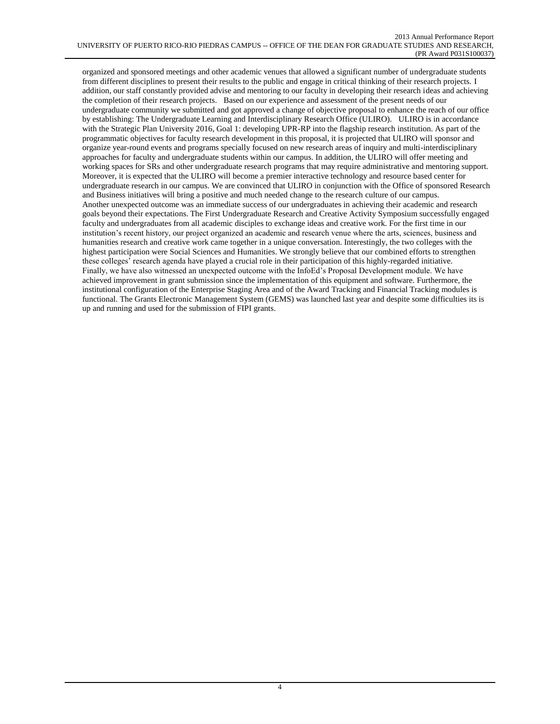organized and sponsored meetings and other academic venues that allowed a significant number of undergraduate students from different disciplines to present their results to the public and engage in critical thinking of their research projects. I addition, our staff constantly provided advise and mentoring to our faculty in developing their research ideas and achieving the completion of their research projects. Based on our experience and assessment of the present needs of our undergraduate community we submitted and got approved a change of objective proposal to enhance the reach of our office by establishing: The Undergraduate Learning and Interdisciplinary Research Office (ULIRO). ULIRO is in accordance with the Strategic Plan University 2016, Goal 1: developing UPR-RP into the flagship research institution. As part of the programmatic objectives for faculty research development in this proposal, it is projected that ULIRO will sponsor and organize year-round events and programs specially focused on new research areas of inquiry and multi-interdisciplinary approaches for faculty and undergraduate students within our campus. In addition, the ULIRO will offer meeting and working spaces for SRs and other undergraduate research programs that may require administrative and mentoring support. Moreover, it is expected that the ULIRO will become a premier interactive technology and resource based center for undergraduate research in our campus. We are convinced that ULIRO in conjunction with the Office of sponsored Research and Business initiatives will bring a positive and much needed change to the research culture of our campus. Another unexpected outcome was an immediate success of our undergraduates in achieving their academic and research goals beyond their expectations. The First Undergraduate Research and Creative Activity Symposium successfully engaged faculty and undergraduates from all academic disciples to exchange ideas and creative work. For the first time in our institution's recent history, our project organized an academic and research venue where the arts, sciences, business and humanities research and creative work came together in a unique conversation. Interestingly, the two colleges with the highest participation were Social Sciences and Humanities. We strongly believe that our combined efforts to strengthen these colleges' research agenda have played a crucial role in their participation of this highly-regarded initiative. Finally, we have also witnessed an unexpected outcome with the InfoEd's Proposal Development module. We have achieved improvement in grant submission since the implementation of this equipment and software. Furthermore, the institutional configuration of the Enterprise Staging Area and of the Award Tracking and Financial Tracking modules is functional. The Grants Electronic Management System (GEMS) was launched last year and despite some difficulties its is up and running and used for the submission of FIPI grants.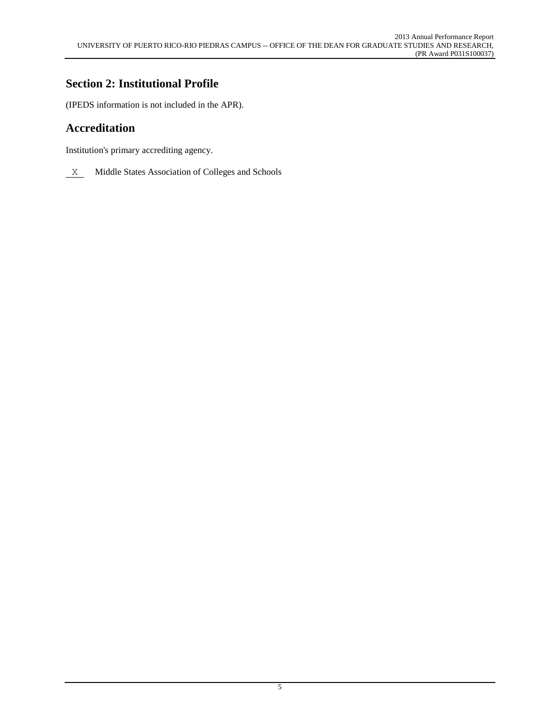## **Section 2: Institutional Profile**

(IPEDS information is not included in the APR).

# **Accreditation**

Institution's primary accrediting agency.

X Middle States Association of Colleges and Schools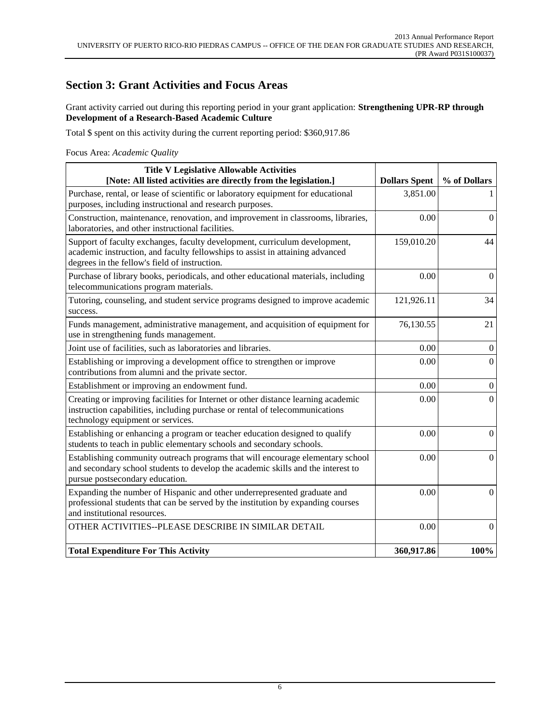### **Section 3: Grant Activities and Focus Areas**

Grant activity carried out during this reporting period in your grant application: **Strengthening UPR-RP through Development of a Research-Based Academic Culture**

Total \$ spent on this activity during the current reporting period: \$360,917.86

Focus Area: *Academic Quality*

| <b>Title V Legislative Allowable Activities</b><br>[Note: All listed activities are directly from the legislation.]                                                                                          | <b>Dollars Spent</b> | % of Dollars     |
|--------------------------------------------------------------------------------------------------------------------------------------------------------------------------------------------------------------|----------------------|------------------|
| Purchase, rental, or lease of scientific or laboratory equipment for educational<br>purposes, including instructional and research purposes.                                                                 | 3,851.00             |                  |
| Construction, maintenance, renovation, and improvement in classrooms, libraries,<br>laboratories, and other instructional facilities.                                                                        | 0.00                 | $\theta$         |
| Support of faculty exchanges, faculty development, curriculum development,<br>academic instruction, and faculty fellowships to assist in attaining advanced<br>degrees in the fellow's field of instruction. | 159,010.20           | 44               |
| Purchase of library books, periodicals, and other educational materials, including<br>telecommunications program materials.                                                                                  | 0.00                 | $\boldsymbol{0}$ |
| Tutoring, counseling, and student service programs designed to improve academic<br>success.                                                                                                                  | 121,926.11           | 34               |
| Funds management, administrative management, and acquisition of equipment for<br>use in strengthening funds management.                                                                                      | 76,130.55            | 21               |
| Joint use of facilities, such as laboratories and libraries.                                                                                                                                                 | 0.00                 | $\overline{0}$   |
| Establishing or improving a development office to strengthen or improve<br>contributions from alumni and the private sector.                                                                                 | 0.00                 | $\mathbf{0}$     |
| Establishment or improving an endowment fund.                                                                                                                                                                | 0.00                 | $\boldsymbol{0}$ |
| Creating or improving facilities for Internet or other distance learning academic<br>instruction capabilities, including purchase or rental of telecommunications<br>technology equipment or services.       | 0.00                 | $\Omega$         |
| Establishing or enhancing a program or teacher education designed to qualify<br>students to teach in public elementary schools and secondary schools.                                                        | 0.00                 | $\boldsymbol{0}$ |
| Establishing community outreach programs that will encourage elementary school<br>and secondary school students to develop the academic skills and the interest to<br>pursue postsecondary education.        | 0.00                 | $\boldsymbol{0}$ |
| Expanding the number of Hispanic and other underrepresented graduate and<br>professional students that can be served by the institution by expanding courses<br>and institutional resources.                 | 0.00                 | $\theta$         |
| OTHER ACTIVITIES--PLEASE DESCRIBE IN SIMILAR DETAIL                                                                                                                                                          | 0.00                 | $\mathbf{0}$     |
| <b>Total Expenditure For This Activity</b>                                                                                                                                                                   | 360,917.86           | 100%             |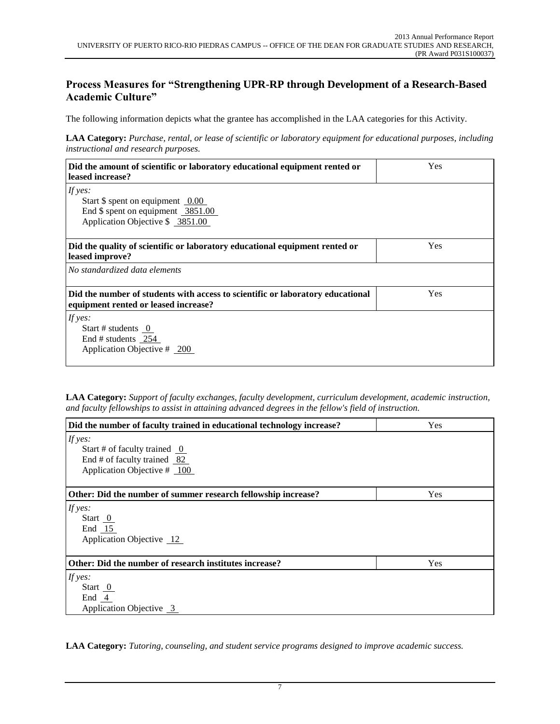### **Process Measures for "Strengthening UPR-RP through Development of a Research-Based Academic Culture"**

The following information depicts what the grantee has accomplished in the LAA categories for this Activity.

**LAA Category:** *Purchase, rental, or lease of scientific or laboratory equipment for educational purposes, including instructional and research purposes.*

| Did the amount of scientific or laboratory educational equipment rented or<br>leased increase? | Yes        |  |  |
|------------------------------------------------------------------------------------------------|------------|--|--|
| If yes:                                                                                        |            |  |  |
| Start $\$$ spent on equipment $\_0.00$                                                         |            |  |  |
| End $\$$ spent on equipment 3851.00                                                            |            |  |  |
| Application Objective \$ 3851.00                                                               |            |  |  |
|                                                                                                |            |  |  |
| Did the quality of scientific or laboratory educational equipment rented or<br>leased improve? | Yes        |  |  |
| No standardized data elements                                                                  |            |  |  |
| Did the number of students with access to scientific or laboratory educational                 | <b>Yes</b> |  |  |
| equipment rented or leased increase?                                                           |            |  |  |
| If yes:                                                                                        |            |  |  |
| Start # students $0$                                                                           |            |  |  |
| End # students 254                                                                             |            |  |  |
| Application Objective $\#$ 200                                                                 |            |  |  |
|                                                                                                |            |  |  |

**LAA Category:** *Support of faculty exchanges, faculty development, curriculum development, academic instruction, and faculty fellowships to assist in attaining advanced degrees in the fellow's field of instruction.*

| Did the number of faculty trained in educational technology increase? | Yes |
|-----------------------------------------------------------------------|-----|
| If yes:                                                               |     |
| Start # of faculty trained $\overline{0}$                             |     |
| End # of faculty trained $82$                                         |     |
| Application Objective $# 100$                                         |     |
|                                                                       |     |
| Other: Did the number of summer research fellowship increase?         | Yes |
| If yes:                                                               |     |
| Start $\overline{0}$                                                  |     |
| End $15$                                                              |     |
| Application Objective 12                                              |     |
|                                                                       |     |
| Other: Did the number of research institutes increase?                | Yes |
| If yes:                                                               |     |
| Start $0$                                                             |     |
| End 4                                                                 |     |
| Application Objective 3                                               |     |

**LAA Category:** *Tutoring, counseling, and student service programs designed to improve academic success.*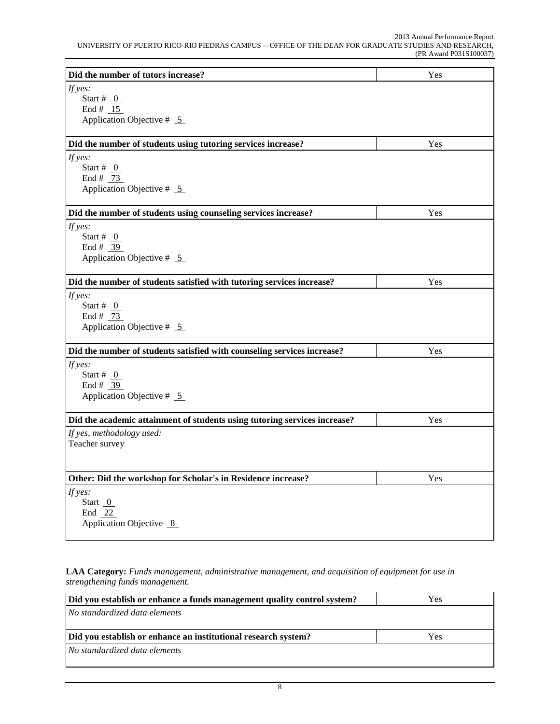| Did the number of tutors increase?                                        | Yes |
|---------------------------------------------------------------------------|-----|
| If yes:                                                                   |     |
| Start # $_0$                                                              |     |
| End # $15$                                                                |     |
| Application Objective $# 5$                                               |     |
|                                                                           |     |
| Did the number of students using tutoring services increase?              | Yes |
| If yes:                                                                   |     |
| Start # $_0$                                                              |     |
| End # $73$                                                                |     |
| Application Objective $# 5$                                               |     |
| Did the number of students using counseling services increase?            | Yes |
| If yes:                                                                   |     |
| Start # $_0$                                                              |     |
| End # $39$                                                                |     |
| Application Objective $# 5$                                               |     |
| Did the number of students satisfied with tutoring services increase?     | Yes |
| If yes:                                                                   |     |
| Start # $_0$                                                              |     |
| End # $73$                                                                |     |
| Application Objective $# 5$                                               |     |
|                                                                           |     |
| Did the number of students satisfied with counseling services increase?   | Yes |
| If yes:                                                                   |     |
| Start # $_0$<br>End # $39$                                                |     |
| Application Objective $# 5$                                               |     |
|                                                                           |     |
| Did the academic attainment of students using tutoring services increase? | Yes |
| If yes, methodology used:                                                 |     |
| Teacher survey                                                            |     |
|                                                                           |     |
| Other: Did the workshop for Scholar's in Residence increase?              | Yes |
| If yes:                                                                   |     |
| Start 0                                                                   |     |
| End $22$                                                                  |     |
| Application Objective 8                                                   |     |
|                                                                           |     |

**LAA Category:** *Funds management, administrative management, and acquisition of equipment for use in strengthening funds management.*

| Did you establish or enhance a funds management quality control system? | <b>Yes</b> |
|-------------------------------------------------------------------------|------------|
| No standardized data elements                                           |            |
|                                                                         |            |
| Did you establish or enhance an institutional research system?          | <b>Yes</b> |
| No standardized data elements                                           |            |
|                                                                         |            |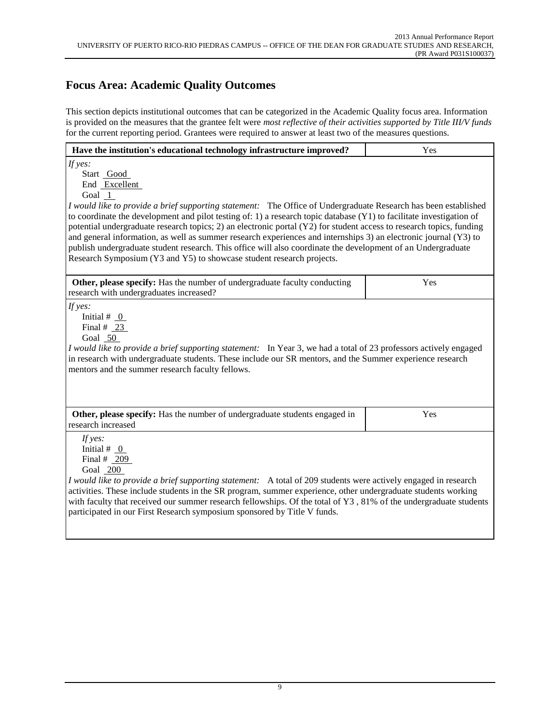## **Focus Area: Academic Quality Outcomes**

This section depicts institutional outcomes that can be categorized in the Academic Quality focus area. Information is provided on the measures that the grantee felt were *most reflective of their activities supported by Title III/V funds* for the current reporting period. Grantees were required to answer at least two of the measures questions.

| Have the institution's educational technology infrastructure improved?                                                                                                                                                                                                                                                                                                                                                                                                                                                                                                                                                                                                                                                             | Yes |  |  |
|------------------------------------------------------------------------------------------------------------------------------------------------------------------------------------------------------------------------------------------------------------------------------------------------------------------------------------------------------------------------------------------------------------------------------------------------------------------------------------------------------------------------------------------------------------------------------------------------------------------------------------------------------------------------------------------------------------------------------------|-----|--|--|
| If yes:<br>Start Good<br>End Excellent<br>Goal 1<br>I would like to provide a brief supporting statement: The Office of Undergraduate Research has been established<br>to coordinate the development and pilot testing of: 1) a research topic database $(Y1)$ to facilitate investigation of<br>potential undergraduate research topics; 2) an electronic portal (Y2) for student access to research topics, funding<br>and general information, as well as summer research experiences and internships 3) an electronic journal (Y3) to<br>publish undergraduate student research. This office will also coordinate the development of an Undergraduate<br>Research Symposium (Y3 and Y5) to showcase student research projects. |     |  |  |
| Other, please specify: Has the number of undergraduate faculty conducting<br>research with undergraduates increased?                                                                                                                                                                                                                                                                                                                                                                                                                                                                                                                                                                                                               | Yes |  |  |
| If yes:<br>Initial # $_0$<br>Final # $\angle 23$<br>Goal 50<br>I would like to provide a brief supporting statement: In Year 3, we had a total of 23 professors actively engaged<br>in research with undergraduate students. These include our SR mentors, and the Summer experience research<br>mentors and the summer research faculty fellows.                                                                                                                                                                                                                                                                                                                                                                                  |     |  |  |
| Other, please specify: Has the number of undergraduate students engaged in<br>research increased                                                                                                                                                                                                                                                                                                                                                                                                                                                                                                                                                                                                                                   | Yes |  |  |
| If $yes:$<br>Initial $# 0$<br>Final # $209$<br>Goal 200<br>I would like to provide a brief supporting statement: A total of 209 students were actively engaged in research<br>activities. These include students in the SR program, summer experience, other undergraduate students working<br>with faculty that received our summer research fellowships. Of the total of Y3, 81% of the undergraduate students<br>participated in our First Research symposium sponsored by Title V funds.                                                                                                                                                                                                                                       |     |  |  |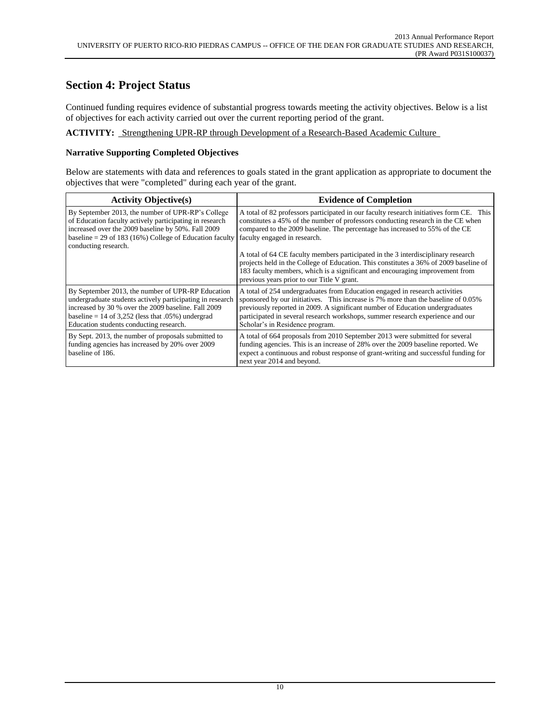### **Section 4: Project Status**

Continued funding requires evidence of substantial progress towards meeting the activity objectives. Below is a list of objectives for each activity carried out over the current reporting period of the grant.

**ACTIVITY:** Strengthening UPR-RP through Development of a Research-Based Academic Culture

### **Narrative Supporting Completed Objectives**

Below are statements with data and references to goals stated in the grant application as appropriate to document the objectives that were "completed" during each year of the grant.

| <b>Activity Objective(s)</b>                                                                                                                                                                                                                                            | <b>Evidence of Completion</b>                                                                                                                                                                                                                                                                                                                                          |
|-------------------------------------------------------------------------------------------------------------------------------------------------------------------------------------------------------------------------------------------------------------------------|------------------------------------------------------------------------------------------------------------------------------------------------------------------------------------------------------------------------------------------------------------------------------------------------------------------------------------------------------------------------|
| By September 2013, the number of UPR-RP's College<br>of Education faculty actively participating in research<br>increased over the 2009 baseline by 50%. Fall 2009<br>baseline = 29 of 183 (16%) College of Education faculty<br>conducting research.                   | A total of 82 professors participated in our faculty research initiatives form CE. This<br>constitutes a 45% of the number of professors conducting research in the CE when<br>compared to the 2009 baseline. The percentage has increased to 55% of the CE<br>faculty engaged in research.                                                                            |
|                                                                                                                                                                                                                                                                         | A total of 64 CE faculty members participated in the 3 interdisciplinary research<br>projects held in the College of Education. This constitutes a 36% of 2009 baseline of<br>183 faculty members, which is a significant and encouraging improvement from<br>previous years prior to our Title V grant.                                                               |
| By September 2013, the number of UPR-RP Education<br>undergraduate students actively participating in research<br>increased by 30 % over the 2009 baseline. Fall 2009<br>baseline = $14$ of 3,252 (less that .05%) undergrad<br>Education students conducting research. | A total of 254 undergraduates from Education engaged in research activities<br>sponsored by our initiatives. This increase is 7% more than the baseline of 0.05%<br>previously reported in 2009. A significant number of Education undergraduates<br>participated in several research workshops, summer research experience and our<br>Scholar's in Residence program. |
| By Sept. 2013, the number of proposals submitted to<br>funding agencies has increased by 20% over 2009<br>baseline of 186.                                                                                                                                              | A total of 664 proposals from 2010 September 2013 were submitted for several<br>funding agencies. This is an increase of 28% over the 2009 baseline reported. We<br>expect a continuous and robust response of grant-writing and successful funding for<br>next year 2014 and beyond.                                                                                  |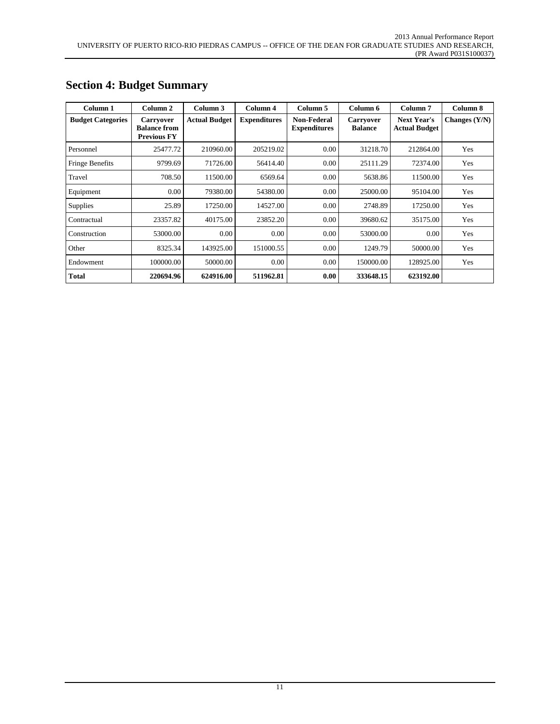| Column 1                 | Column <sub>2</sub>                                           | Column 3             | Column 4            | Column 5                                  | Column 6                           | Column <sub>7</sub>                        | Column 8        |
|--------------------------|---------------------------------------------------------------|----------------------|---------------------|-------------------------------------------|------------------------------------|--------------------------------------------|-----------------|
| <b>Budget Categories</b> | <b>Carryover</b><br><b>Balance from</b><br><b>Previous FY</b> | <b>Actual Budget</b> | <b>Expenditures</b> | <b>Non-Federal</b><br><b>Expenditures</b> | <b>Carryover</b><br><b>Balance</b> | <b>Next Year's</b><br><b>Actual Budget</b> | Changes $(Y/N)$ |
| Personnel                | 25477.72                                                      | 210960.00            | 205219.02           | 0.00                                      | 31218.70                           | 212864.00                                  | Yes             |
| Fringe Benefits          | 9799.69                                                       | 71726.00             | 56414.40            | 0.00                                      | 25111.29                           | 72374.00                                   | Yes             |
| Travel                   | 708.50                                                        | 11500.00             | 6569.64             | 0.00                                      | 5638.86                            | 11500.00                                   | Yes             |
| Equipment                | 0.00                                                          | 79380.00             | 54380.00            | 0.00                                      | 25000.00                           | 95104.00                                   | Yes             |
| <b>Supplies</b>          | 25.89                                                         | 17250.00             | 14527.00            | 0.00                                      | 2748.89                            | 17250.00                                   | Yes             |
| Contractual              | 23357.82                                                      | 40175.00             | 23852.20            | 0.00                                      | 39680.62                           | 35175.00                                   | Yes             |
| Construction             | 53000.00                                                      | 0.00                 | 0.00                | 0.00                                      | 53000.00                           | 0.00                                       | Yes             |
| Other                    | 8325.34                                                       | 143925.00            | 151000.55           | 0.00                                      | 1249.79                            | 50000.00                                   | Yes             |
| Endowment                | 100000.00                                                     | 50000.00             | 0.00                | 0.00                                      | 150000.00                          | 128925.00                                  | Yes             |
| <b>Total</b>             | 220694.96                                                     | 624916.00            | 511962.81           | 0.00                                      | 333648.15                          | 623192.00                                  |                 |

## **Section 4: Budget Summary**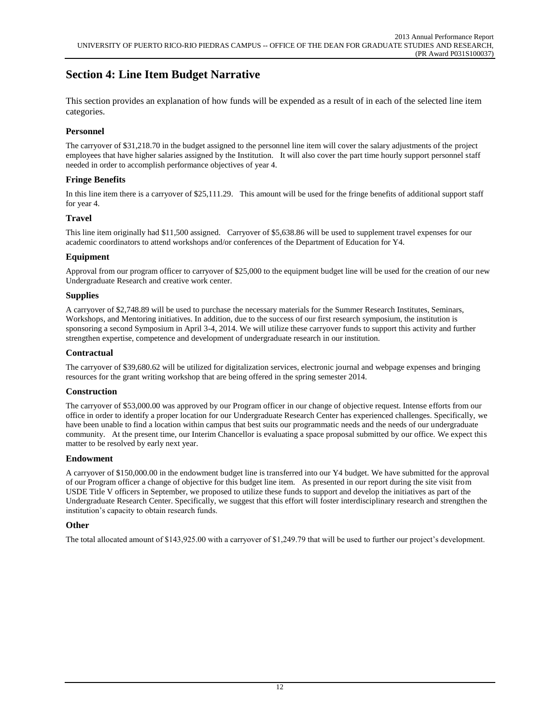# **Section 4: Line Item Budget Narrative**

This section provides an explanation of how funds will be expended as a result of in each of the selected line item categories.

### **Personnel**

The carryover of \$31,218.70 in the budget assigned to the personnel line item will cover the salary adjustments of the project employees that have higher salaries assigned by the Institution. It will also cover the part time hourly support personnel staff needed in order to accomplish performance objectives of year 4.

#### **Fringe Benefits**

In this line item there is a carryover of \$25,111.29. This amount will be used for the fringe benefits of additional support staff for year 4.

### **Travel**

This line item originally had \$11,500 assigned. Carryover of \$5,638.86 will be used to supplement travel expenses for our academic coordinators to attend workshops and/or conferences of the Department of Education for Y4.

#### **Equipment**

Approval from our program officer to carryover of \$25,000 to the equipment budget line will be used for the creation of our new Undergraduate Research and creative work center.

#### **Supplies**

A carryover of \$2,748.89 will be used to purchase the necessary materials for the Summer Research Institutes, Seminars, Workshops, and Mentoring initiatives. In addition, due to the success of our first research symposium, the institution is sponsoring a second Symposium in April 3-4, 2014. We will utilize these carryover funds to support this activity and further strengthen expertise, competence and development of undergraduate research in our institution.

#### **Contractual**

The carryover of \$39,680.62 will be utilized for digitalization services, electronic journal and webpage expenses and bringing resources for the grant writing workshop that are being offered in the spring semester 2014.

#### **Construction**

The carryover of \$53,000.00 was approved by our Program officer in our change of objective request. Intense efforts from our office in order to identify a proper location for our Undergraduate Research Center has experienced challenges. Specifically, we have been unable to find a location within campus that best suits our programmatic needs and the needs of our undergraduate community. At the present time, our Interim Chancellor is evaluating a space proposal submitted by our office. We expect this matter to be resolved by early next year.

#### **Endowment**

A carryover of \$150,000.00 in the endowment budget line is transferred into our Y4 budget. We have submitted for the approval of our Program officer a change of objective for this budget line item. As presented in our report during the site visit from USDE Title V officers in September, we proposed to utilize these funds to support and develop the initiatives as part of the Undergraduate Research Center. Specifically, we suggest that this effort will foster interdisciplinary research and strengthen the institution's capacity to obtain research funds.

#### **Other**

The total allocated amount of \$143,925.00 with a carryover of \$1,249.79 that will be used to further our project's development.